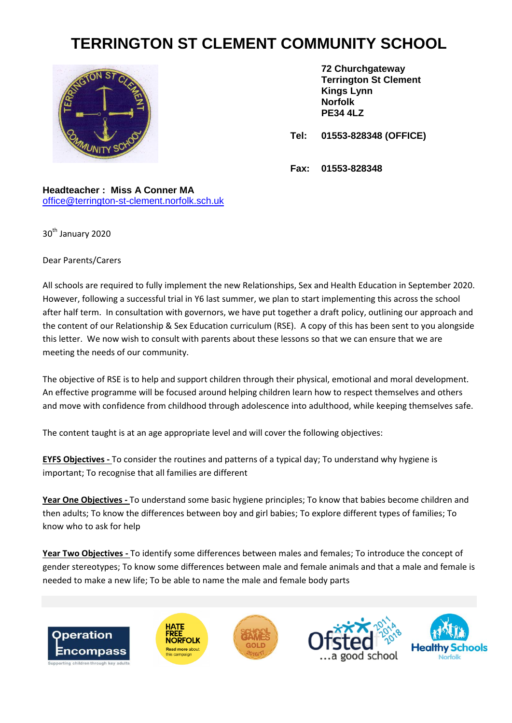## **TERRINGTON ST CLEMENT COMMUNITY SCHOOL**



**72 Churchgateway Terrington St Clement Kings Lynn Norfolk PE34 4LZ**

**Tel: 01553-828348 (OFFICE)**

**Fax: 01553-828348**

**Headteacher : Miss A Conner MA** [office@terrington-st-clement.norfolk.sch.uk](mailto:office@terrington-st-clement.norfolk.sch.uk)

30<sup>th</sup> January 2020

Dear Parents/Carers

All schools are required to fully implement the new Relationships, Sex and Health Education in September 2020. However, following a successful trial in Y6 last summer, we plan to start implementing this across the school after half term. In consultation with governors, we have put together a draft policy, outlining our approach and the content of our Relationship & Sex Education curriculum (RSE). A copy of this has been sent to you alongside this letter. We now wish to consult with parents about these lessons so that we can ensure that we are meeting the needs of our community.

The objective of RSE is to help and support children through their physical, emotional and moral development. An effective programme will be focused around helping children learn how to respect themselves and others and move with confidence from childhood through adolescence into adulthood, while keeping themselves safe.

The content taught is at an age appropriate level and will cover the following objectives:

**EYFS Objectives -** To consider the routines and patterns of a typical day; To understand why hygiene is important; To recognise that all families are different

**Year One Objectives -** To understand some basic hygiene principles; To know that babies become children and then adults; To know the differences between boy and girl babies; To explore different types of families; To know who to ask for help

**Year Two Objectives -** To identify some differences between males and females; To introduce the concept of gender stereotypes; To know some differences between male and female animals and that a male and female is needed to make a new life; To be able to name the male and female body parts